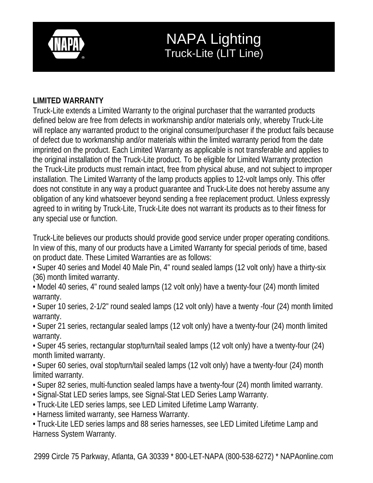

#### **LIMITED WARRANTY**

Truck-Lite extends a Limited Warranty to the original purchaser that the warranted products defined below are free from defects in workmanship and/or materials only, whereby Truck-Lite will replace any warranted product to the original consumer/purchaser if the product fails because of defect due to workmanship and/or materials within the limited warranty period from the date imprinted on the product. Each Limited Warranty as applicable is not transferable and applies to the original installation of the Truck-Lite product. To be eligible for Limited Warranty protection the Truck-Lite products must remain intact, free from physical abuse, and not subject to improper installation. The Limited Warranty of the lamp products applies to 12-volt lamps only. This offer does not constitute in any way a product guarantee and Truck-Lite does not hereby assume any obligation of any kind whatsoever beyond sending a free replacement product. Unless expressly agreed to in writing by Truck-Lite, Truck-Lite does not warrant its products as to their fitness for any special use or function.

Truck-Lite believes our products should provide good service under proper operating conditions. In view of this, many of our products have a Limited Warranty for special periods of time, based on product date. These Limited Warranties are as follows:

• Super 40 series and Model 40 Male Pin, 4" round sealed lamps (12 volt only) have a thirty-six (36) month limited warranty.

• Model 40 series, 4" round sealed lamps (12 volt only) have a twenty-four (24) month limited warranty.

• Super 10 series, 2-1/2" round sealed lamps (12 volt only) have a twenty -four (24) month limited warranty.

• Super 21 series, rectangular sealed lamps (12 volt only) have a twenty-four (24) month limited warranty.

• Super 45 series, rectangular stop/turn/tail sealed lamps (12 volt only) have a twenty-four (24) month limited warranty.

• Super 60 series, oval stop/turn/tail sealed lamps (12 volt only) have a twenty-four (24) month limited warranty.

• Super 82 series, multi-function sealed lamps have a twenty-four (24) month limited warranty.

• Signal-Stat LED series lamps, see Signal-Stat LED Series Lamp Warranty.

• Truck-Lite LED series lamps, see LED Limited Lifetime Lamp Warranty.

• Harness limited warranty, see Harness Warranty.

• Truck-Lite LED series lamps and 88 series harnesses, see LED Limited Lifetime Lamp and Harness System Warranty.

2999 Circle 75 Parkway, Atlanta, GA 30339 \* 800-LET-NAPA (800-538-6272) \* NAPAonline.com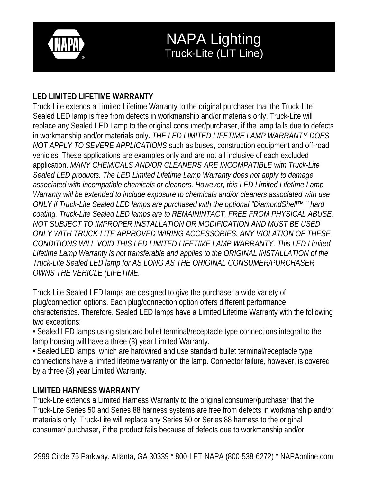

#### **LED LIMITED LIFETIME WARRANTY**

Truck-Lite extends a Limited Lifetime Warranty to the original purchaser that the Truck-Lite Sealed LED lamp is free from defects in workmanship and/or materials only. Truck-Lite will replace any Sealed LED Lamp to the original consumer/purchaser, if the lamp fails due to defects in workmanship and/or materials only. *THE LED LIMITED LIFETIME LAMP WARRANTY DOES NOT APPLY TO SEVERE APPLICATIONS* such as buses, construction equipment and off-road vehicles. These applications are examples only and are not all inclusive of each excluded application. *MANY CHEMICALS AND/OR CLEANERS ARE INCOMPATIBLE with Truck-Lite Sealed LED products. The LED Limited Lifetime Lamp Warranty does not apply to damage associated with incompatible chemicals or cleaners. However, this LED Limited Lifetime Lamp Warranty will be extended to include exposure to chemicals and/or cleaners associated with use ONLY if Truck-Lite Sealed LED lamps are purchased with the optional "DiamondShell™ " hard coating. Truck-Lite Sealed LED lamps are to REMAININTACT, FREE FROM PHYSICAL ABUSE, NOT SUBJECT TO IMPROPER INSTALLATION OR MODIFICATION AND MUST BE USED ONLY WITH TRUCK-LITE APPROVED WIRING ACCESSORIES. ANY VIOLATION OF THESE CONDITIONS WILL VOID THIS LED LIMITED LIFETIME LAMP WARRANTY. This LED Limited Lifetime Lamp Warranty is not transferable and applies to the ORIGINAL INSTALLATION of the Truck-Lite Sealed LED lamp for AS LONG AS THE ORIGINAL CONSUMER/PURCHASER OWNS THE VEHICLE (LIFETIME.* 

Truck-Lite Sealed LED lamps are designed to give the purchaser a wide variety of plug/connection options. Each plug/connection option offers different performance characteristics. Therefore, Sealed LED lamps have a Limited Lifetime Warranty with the following two exceptions:

• Sealed LED lamps using standard bullet terminal/receptacle type connections integral to the lamp housing will have a three (3) year Limited Warranty.

• Sealed LED lamps, which are hardwired and use standard bullet terminal/receptacle type connections have a limited lifetime warranty on the lamp. Connector failure, however, is covered by a three (3) year Limited Warranty.

#### **LIMITED HARNESS WARRANTY**

Truck-Lite extends a Limited Harness Warranty to the original consumer/purchaser that the Truck-Lite Series 50 and Series 88 harness systems are free from defects in workmanship and/or materials only. Truck-Lite will replace any Series 50 or Series 88 harness to the original consumer/ purchaser, if the product fails because of defects due to workmanship and/or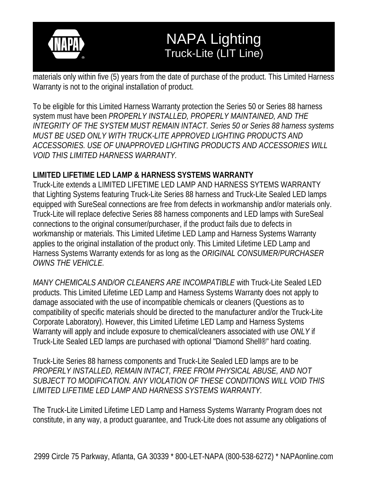

materials only within five (5) years from the date of purchase of the product. This Limited Harness Warranty is not to the original installation of product.

To be eligible for this Limited Harness Warranty protection the Series 50 or Series 88 harness system must have been *PROPERLY INSTALLED, PROPERLY MAINTAINED, AND THE INTEGRITY OF THE SYSTEM MUST REMAIN INTACT. Series 50 or Series 88 harness systems MUST BE USED ONLY WITH TRUCK-LITE APPROVED LIGHTING PRODUCTS AND ACCESSORIES. USE OF UNAPPROVED LIGHTING PRODUCTS AND ACCESSORIES WILL VOID THIS LIMITED HARNESS WARRANTY.* 

#### **LIMITED LIFETIME LED LAMP & HARNESS SYSTEMS WARRANTY**

Truck-Lite extends a LIMITED LIFETIME LED LAMP AND HARNESS SYTEMS WARRANTY that Lighting Systems featuring Truck-Lite Series 88 harness and Truck-Lite Sealed LED lamps equipped with SureSeal connections are free from defects in workmanship and/or materials only. Truck-Lite will replace defective Series 88 harness components and LED lamps with SureSeal connections to the original consumer/purchaser, if the product fails due to defects in workmanship or materials. This Limited Lifetime LED Lamp and Harness Systems Warranty applies to the original installation of the product only. This Limited Lifetime LED Lamp and Harness Systems Warranty extends for as long as the *ORIGINAL CONSUMER/PURCHASER OWNS THE VEHICLE.* 

*MANY CHEMICALS AND/OR CLEANERS ARE INCOMPATIBLE* with Truck-Lite Sealed LED products. This Limited Lifetime LED Lamp and Harness Systems Warranty does not apply to damage associated with the use of incompatible chemicals or cleaners (Questions as to compatibility of specific materials should be directed to the manufacturer and/or the Truck-Lite Corporate Laboratory). However, this Limited Lifetime LED Lamp and Harness Systems Warranty will apply and include exposure to chemical/cleaners associated with use *ONLY* if Truck-Lite Sealed LED lamps are purchased with optional "Diamond Shell®" hard coating.

Truck-Lite Series 88 harness components and Truck-Lite Sealed LED lamps are to be *PROPERLY INSTALLED, REMAIN INTACT, FREE FROM PHYSICAL ABUSE, AND NOT SUBJECT TO MODIFICATION. ANY VIOLATION OF THESE CONDITIONS WILL VOID THIS LIMITED LIFETIME LED LAMP AND HARNESS SYSTEMS WARRANTY.* 

The Truck-Lite Limited Lifetime LED Lamp and Harness Systems Warranty Program does not constitute, in any way, a product guarantee, and Truck-Lite does not assume any obligations of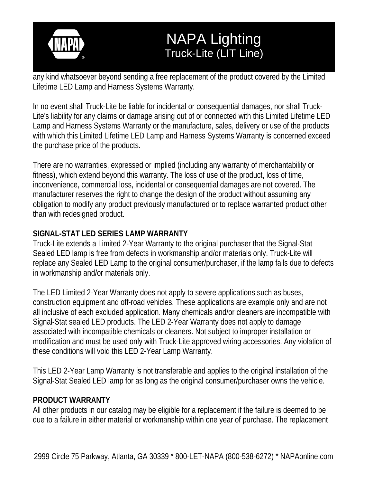

any kind whatsoever beyond sending a free replacement of the product covered by the Limited Lifetime LED Lamp and Harness Systems Warranty.

In no event shall Truck-Lite be liable for incidental or consequential damages, nor shall Truck-Lite's liability for any claims or damage arising out of or connected with this Limited Lifetime LED Lamp and Harness Systems Warranty or the manufacture, sales, delivery or use of the products with which this Limited Lifetime LED Lamp and Harness Systems Warranty is concerned exceed the purchase price of the products.

There are no warranties, expressed or implied (including any warranty of merchantability or fitness), which extend beyond this warranty. The loss of use of the product, loss of time, inconvenience, commercial loss, incidental or consequential damages are not covered. The manufacturer reserves the right to change the design of the product without assuming any obligation to modify any product previously manufactured or to replace warranted product other than with redesigned product.

#### **SIGNAL-STAT LED SERIES LAMP WARRANTY**

Truck-Lite extends a Limited 2-Year Warranty to the original purchaser that the Signal-Stat Sealed LED lamp is free from defects in workmanship and/or materials only. Truck-Lite will replace any Sealed LED Lamp to the original consumer/purchaser, if the lamp fails due to defects in workmanship and/or materials only.

The LED Limited 2-Year Warranty does not apply to severe applications such as buses, construction equipment and off-road vehicles. These applications are example only and are not all inclusive of each excluded application. Many chemicals and/or cleaners are incompatible with Signal-Stat sealed LED products. The LED 2-Year Warranty does not apply to damage associated with incompatible chemicals or cleaners. Not subject to improper installation or modification and must be used only with Truck-Lite approved wiring accessories. Any violation of these conditions will void this LED 2-Year Lamp Warranty.

This LED 2-Year Lamp Warranty is not transferable and applies to the original installation of the Signal-Stat Sealed LED lamp for as long as the original consumer/purchaser owns the vehicle.

#### **PRODUCT WARRANTY**

All other products in our catalog may be eligible for a replacement if the failure is deemed to be due to a failure in either material or workmanship within one year of purchase. The replacement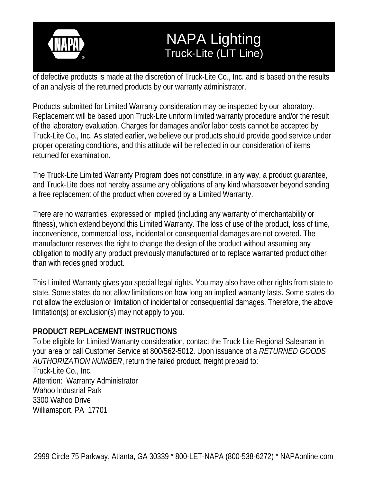

of defective products is made at the discretion of Truck-Lite Co., Inc. and is based on the results of an analysis of the returned products by our warranty administrator.

Products submitted for Limited Warranty consideration may be inspected by our laboratory. Replacement will be based upon Truck-Lite uniform limited warranty procedure and/or the result of the laboratory evaluation. Charges for damages and/or labor costs cannot be accepted by Truck-Lite Co., Inc. As stated earlier, we believe our products should provide good service under proper operating conditions, and this attitude will be reflected in our consideration of items returned for examination.

The Truck-Lite Limited Warranty Program does not constitute, in any way, a product guarantee, and Truck-Lite does not hereby assume any obligations of any kind whatsoever beyond sending a free replacement of the product when covered by a Limited Warranty.

There are no warranties, expressed or implied (including any warranty of merchantability or fitness), which extend beyond this Limited Warranty. The loss of use of the product, loss of time, inconvenience, commercial loss, incidental or consequential damages are not covered. The manufacturer reserves the right to change the design of the product without assuming any obligation to modify any product previously manufactured or to replace warranted product other than with redesigned product.

This Limited Warranty gives you special legal rights. You may also have other rights from state to state. Some states do not allow limitations on how long an implied warranty lasts. Some states do not allow the exclusion or limitation of incidental or consequential damages. Therefore, the above limitation(s) or exclusion(s) may not apply to you.

### **PRODUCT REPLACEMENT INSTRUCTIONS**

To be eligible for Limited Warranty consideration, contact the Truck-Lite Regional Salesman in your area or call Customer Service at 800/562-5012. Upon issuance of a *RETURNED GOODS AUTHORIZATION NUMBER*, return the failed product, freight prepaid to: Truck-Lite Co., Inc. Attention: Warranty Administrator Wahoo Industrial Park 3300 Wahoo Drive Williamsport, PA 17701